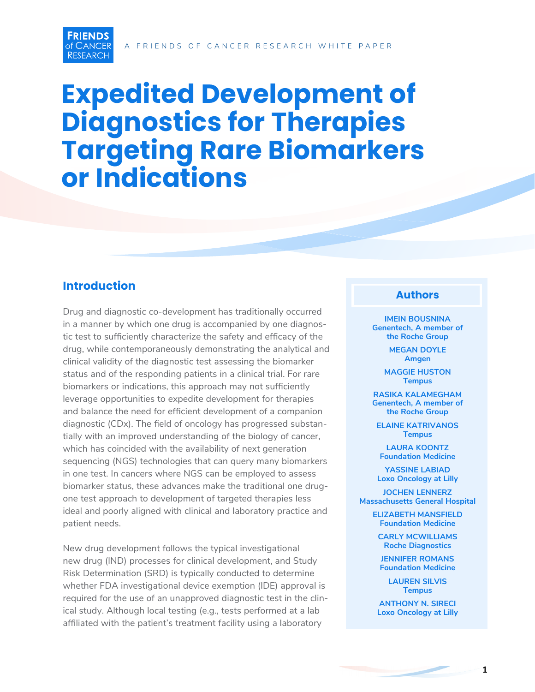

# **Expedited Development of Diagnostics for Therapies Targeting Rare Biomarkers or Indications**

# **Introduction**

Drug and diagnostic co-development has traditionally occurred in a manner by which one drug is accompanied by one diagnostic test to sufficiently characterize the safety and efficacy of the drug, while contemporaneously demonstrating the analytical and clinical validity of the diagnostic test assessing the biomarker status and of the responding patients in a clinical trial. For rare biomarkers or indications, this approach may not sufficiently leverage opportunities to expedite development for therapies and balance the need for efficient development of a companion diagnostic (CDx). The field of oncology has progressed substantially with an improved understanding of the biology of cancer, which has coincided with the availability of next generation sequencing (NGS) technologies that can query many biomarkers in one test. In cancers where NGS can be employed to assess biomarker status, these advances make the traditional one drugone test approach to development of targeted therapies less ideal and poorly aligned with clinical and laboratory practice and patient needs.

New drug development follows the typical investigational new drug (IND) processes for clinical development, and Study Risk Determination (SRD) is typically conducted to determine whether FDA investigational device exemption (IDE) approval is required for the use of an unapproved diagnostic test in the clinical study. Although local testing (e.g., tests performed at a lab affiliated with the patient's treatment facility using a laboratory

#### **Authors**

**IMEIN BOUSNINA Genentech, A member of the Roche Group**

> **MEGAN DOYLE Amgen**

**MAGGIE HUSTON Tempus**

**RASIKA KALAMEGHAM Genentech, A member of the Roche Group**

**ELAINE KATRIVANOS Tempus**

**LAURA KOONTZ Foundation Medicine**

**YASSINE LABIAD Loxo Oncology at Lilly**

**JOCHEN LENNERZ Massachusetts General Hospital**

> **ELIZABETH MANSFIELD Foundation Medicine**

**CARLY MCWILLIAMS Roche Diagnostics**

**JENNIFER ROMANS Foundation Medicine** 

**LAUREN SILVIS Tempus**

**ANTHONY N. SIRECI Loxo Oncology at Lilly**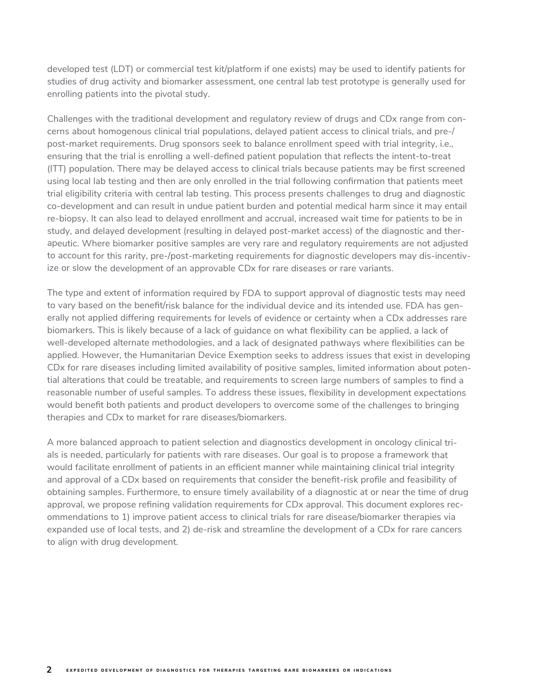developed test (LDT) or commercial test kit/platform if one exists) may be used to identify patients for studies of drug activity and biomarker assessment, one central lab test prototype is generally used for enrolling patients into the pivotal study.

Challenges with the traditional development and regulatory review of drugs and CDx range from concerns about homogenous clinical trial populations, delayed patient access to clinical trials, and pre-/ post-market requirements. Drug sponsors seek to balance enrollment speed with trial integrity, i.e., ensuring that the trial is enrolling a well-defined patient population that reflects the intent-to-treat (ITT) population. There may be delayed access to clinical trials because patients may be first screened using local lab testing and then are only enrolled in the trial following confirmation that patients meet trial eligibility criteria with central lab testing. This process presents challenges to drug and diagnostic co-development and can result in undue patient burden and potential medical harm since it may entail re-biopsy. It can also lead to delayed enrollment and accrual, increased wait time for patients to be in study, and delayed development (resulting in delayed post-market access) of the diagnostic and therapeutic. Where biomarker positive samples are very rare and regulatory requirements are not adjusted to account for this rarity, pre-/post-marketing requirements for diagnostic developers may dis-incentivize or slow the development of an approvable CDx for rare diseases or rare variants.

The type and extent of information required by FDA to support approval of diagnostic tests may need to vary based on the benefit/risk balance for the individual device and its intended use. FDA has generally not applied differing requirements for levels of evidence or certainty when a CDx addresses rare biomarkers. This is likely because of a lack of guidance on what flexibility can be applied, a lack of well-developed alternate methodologies, and a lack of designated pathways where flexibilities can be applied. However, the Humanitarian Device Exemption seeks to address issues that exist in developing CDx for rare diseases including limited availability of positive samples, limited information about potential alterations that could be treatable, and requirements to screen large numbers of samples to find a reasonable number of useful samples. To address these issues, flexibility in development expectations would benefit both patients and product developers to overcome some of the challenges to bringing therapies and CDx to market for rare diseases/biomarkers.

A more balanced approach to patient selection and diagnostics development in oncology clinical trials is needed, particularly for patients with rare diseases. Our goal is to propose a framework that would facilitate enrollment of patients in an efficient manner while maintaining clinical trial integrity and approval of a CDx based on requirements that consider the benefit-risk profile and feasibility of obtaining samples. Furthermore, to ensure timely availability of a diagnostic at or near the time of drug approval, we propose refining validation requirements for CDx approval. This document explores recommendations to 1) improve patient access to clinical trials for rare disease/biomarker therapies via expanded use of local tests, and 2) de-risk and streamline the development of a CDx for rare cancers to align with drug development.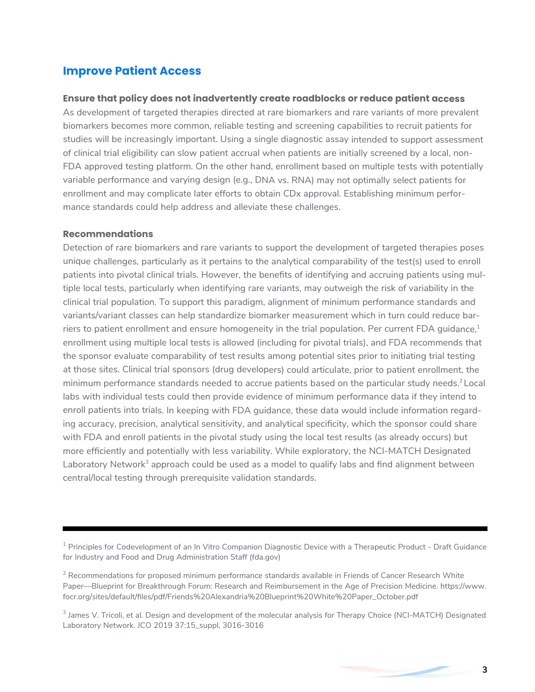# **Improve Patient Access**

#### **Ensure that policy does not inadvertently create roadblocks or reduce patient access**

As development of targeted therapies directed at rare biomarkers and rare variants of more prevalent biomarkers becomes more common, reliable testing and screening capabilities to recruit patients for studies will be increasingly important. Using a single diagnostic assay intended to support assessment of clinical trial eligibility can slow patient accrual when patients are initially screened by a local, non-FDA approved testing platform. On the other hand, enrollment based on multiple tests with potentially variable performance and varying design (e.g., DNA vs. RNA) may not optimally select patients for enrollment and may complicate later efforts to obtain CDx approval. Establishing minimum performance standards could help address and alleviate these challenges.

#### **Recommendations**

Detection of rare biomarkers and rare variants to support the development of targeted therapies poses unique challenges, particularly as it pertains to the analytical comparability of the test(s) used to enroll patients into pivotal clinical trials. However, the benefits of identifying and accruing patients using multiple local tests, particularly when identifying rare variants, may outweigh the risk of variability in the clinical trial population. To support this paradigm, alignment of minimum performance standards and variants/variant classes can help standardize biomarker measurement which in turn could reduce barriers to patient enrollment and ensure homogeneity in the trial population. Per current FDA guidance, $^1$ enrollment using multiple local tests is allowed (including for pivotal trials), and FDA recommends that the sponsor evaluate comparability of test results among potential sites prior to initiating trial testing at those sites. Clinical trial sponsors (drug developers) could articulate, prior to patient enrollment, the minimum performance standards needed to accrue patients based on the particular study needs.<sup>2</sup> Local labs with individual tests could then provide evidence of minimum performance data if they intend to enroll patients into trials. In keeping with FDA guidance, these data would include information regarding accuracy, precision, analytical sensitivity, and analytical specificity, which the sponsor could share with FDA and enroll patients in the pivotal study using the local test results (as already occurs) but more efficiently and potentially with less variability. While exploratory, the NCI-MATCH Designated Laboratory Network<sup>3</sup> approach could be used as a model to qualify labs and find alignment between central/local testing through prerequisite validation standards.

<sup>&</sup>lt;sup>1</sup> Principles for Codevelopment of an In Vitro Companion Diagnostic Device with a Therapeutic Product - Draft Guidance for Industry and Food and Drug Administration Staff (fda.gov)

 $^2$  Recommendations for proposed minimum performance standards available in Friends of Cancer Research White Paper—Blueprint for Breakthrough Forum: Research and Reimbursement in the Age of Precision Medicine. https://www. focr.org/sites/default/files/pdf/Friends%20Alexandria%20Blueprint%20White%20Paper\_October.pdf

<sup>&</sup>lt;sup>3</sup> James V. Tricoli, et al. Design and development of the molecular analysis for Therapy Choice (NCI-MATCH) Designated Laboratory Network. JCO 2019 37:15\_suppl, 3016-3016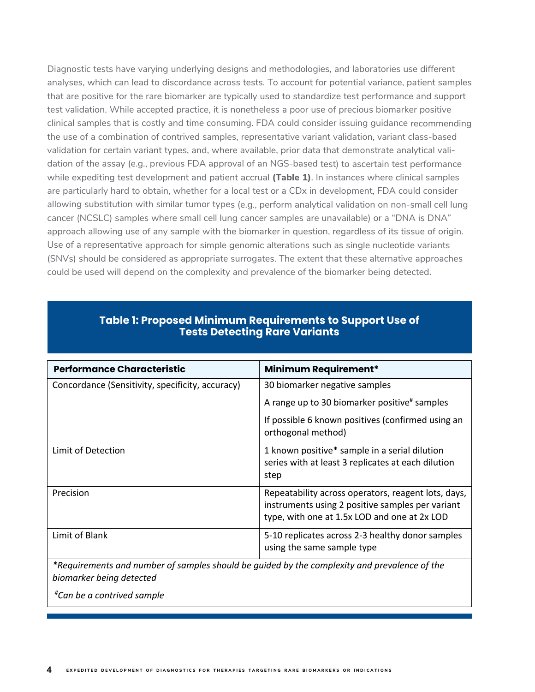Diagnostic tests have varying underlying designs and methodologies, and laboratories use different analyses, which can lead to discordance across tests. To account for potential variance, patient samples that are positive for the rare biomarker are typically used to standardize test performance and support test validation. While accepted practice, it is nonetheless a poor use of precious biomarker positive clinical samples that is costly and time consuming. FDA could consider issuing guidance recommending the use of a combination of contrived samples, representative variant validation, variant class-based validation for certain variant types, and, where available, prior data that demonstrate analytical validation of the assay (e.g., previous FDA approval of an NGS-based test) to ascertain test performance while expediting test development and patient accrual **(Table 1)**. In instances where clinical samples are particularly hard to obtain, whether for a local test or a CDx in development, FDA could consider allowing substitution with similar tumor types (e.g., perform analytical validation on non-small cell lung cancer (NCSLC) samples where small cell lung cancer samples are unavailable) or a "DNA is DNA" approach allowing use of any sample with the biomarker in question, regardless of its tissue of origin. Use of a representative approach for simple genomic alterations such as single nucleotide variants (SNVs) should be considered as appropriate surrogates. The extent that these alternative approaches could be used will depend on the complexity and prevalence of the biomarker being detected.

| <b>Performance Characteristic</b>                | <b>Minimum Requirement*</b>                                                                                                                             |
|--------------------------------------------------|---------------------------------------------------------------------------------------------------------------------------------------------------------|
| Concordance (Sensitivity, specificity, accuracy) | 30 biomarker negative samples                                                                                                                           |
|                                                  | A range up to 30 biomarker positive <sup>#</sup> samples                                                                                                |
|                                                  | If possible 6 known positives (confirmed using an<br>orthogonal method)                                                                                 |
| Limit of Detection                               | 1 known positive* sample in a serial dilution<br>series with at least 3 replicates at each dilution<br>step                                             |
| Precision                                        | Repeatability across operators, reagent lots, days,<br>instruments using 2 positive samples per variant<br>type, with one at 1.5x LOD and one at 2x LOD |
| Limit of Blank                                   | 5-10 replicates across 2-3 healthy donor samples<br>using the same sample type                                                                          |

# **Table 1: Proposed Minimum Requirements to Support Use of Tests Detecting Rare Variants**

**Table 1: Proposed Minimum Requirements to Support Use of Tests Detecting Rare Variants**

*\*Requirements and number of samples should be guided by the complexity and prevalence of the biomarker being detected*

*# Can be a contrived sample*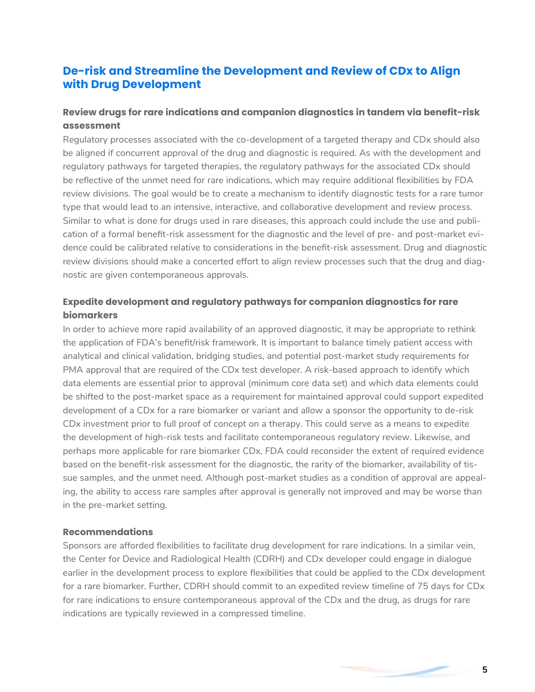# **De-risk and Streamline the Development and Review of CDx to Align with Drug Development**

# **Review drugs for rare indications and companion diagnostics in tandem via benefit-risk assessment**

Regulatory processes associated with the co-development of a targeted therapy and CDx should also be aligned if concurrent approval of the drug and diagnostic is required. As with the development and regulatory pathways for targeted therapies, the regulatory pathways for the associated CDx should be reflective of the unmet need for rare indications, which may require additional flexibilities by FDA review divisions. The goal would be to create a mechanism to identify diagnostic tests for a rare tumor type that would lead to an intensive, interactive, and collaborative development and review process. Similar to what is done for drugs used in rare diseases, this approach could include the use and publication of a formal benefit-risk assessment for the diagnostic and the level of pre- and post-market evidence could be calibrated relative to considerations in the benefit-risk assessment. Drug and diagnostic review divisions should make a concerted effort to align review processes such that the drug and diagnostic are given contemporaneous approvals.

# **Expedite development and regulatory pathways for companion diagnostics for rare biomarkers**

In order to achieve more rapid availability of an approved diagnostic, it may be appropriate to rethink the application of FDA's benefit/risk framework. It is important to balance timely patient access with analytical and clinical validation, bridging studies, and potential post-market study requirements for PMA approval that are required of the CDx test developer. A risk-based approach to identify which data elements are essential prior to approval (minimum core data set) and which data elements could be shifted to the post-market space as a requirement for maintained approval could support expedited development of a CDx for a rare biomarker or variant and allow a sponsor the opportunity to de-risk CDx investment prior to full proof of concept on a therapy. This could serve as a means to expedite the development of high-risk tests and facilitate contemporaneous regulatory review. Likewise, and perhaps more applicable for rare biomarker CDx, FDA could reconsider the extent of required evidence based on the benefit-risk assessment for the diagnostic, the rarity of the biomarker, availability of tissue samples, and the unmet need. Although post-market studies as a condition of approval are appealing, the ability to access rare samples after approval is generally not improved and may be worse than in the pre-market setting.

#### **Recommendations**

Sponsors are afforded flexibilities to facilitate drug development for rare indications. In a similar vein, the Center for Device and Radiological Health (CDRH) and CDx developer could engage in dialogue earlier in the development process to explore flexibilities that could be applied to the CDx development for a rare biomarker. Further, CDRH should commit to an expedited review timeline of 75 days for CDx for rare indications to ensure contemporaneous approval of the CDx and the drug, as drugs for rare indications are typically reviewed in a compressed timeline.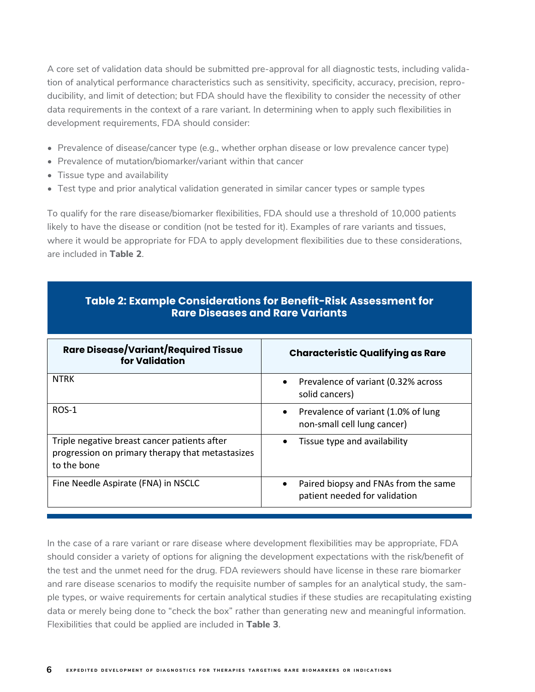A core set of validation data should be submitted pre-approval for all diagnostic tests, including validation of analytical performance characteristics such as sensitivity, specificity, accuracy, precision, reproducibility, and limit of detection; but FDA should have the flexibility to consider the necessity of other data requirements in the context of a rare variant. In determining when to apply such flexibilities in development requirements, FDA should consider:

- Prevalence of disease/cancer type (e.g., whether orphan disease or low prevalence cancer type)
- Prevalence of mutation/biomarker/variant within that cancer
- $\bullet$  Tissue type and availability
- Test type and prior analytical validation generated in similar cancer types or sample types

To qualify for the rare disease/biomarker flexibilities, FDA should use a threshold of  $10,\!000$  patients likely to have the disease or condition (not be tested for it). Examples of rare variants and tissues, where it would be appropriate for FDA to apply development flexibilities due to these considerations, are included in **Table 2**.  $T$ or the rare disease/biomarker  $\mathbb Z$ .

| Rare Disease/Variant/Required Tissue<br>for Validation                                                          | <b>Characteristic Qualifying as Rare</b>                                        |
|-----------------------------------------------------------------------------------------------------------------|---------------------------------------------------------------------------------|
| <b>NTRK</b>                                                                                                     | Prevalence of variant (0.32% across<br>$\bullet$<br>solid cancers)              |
| $ROS-1$                                                                                                         | Prevalence of variant (1.0% of lung<br>$\bullet$<br>non-small cell lung cancer) |
| Triple negative breast cancer patients after<br>progression on primary therapy that metastasizes<br>to the bone | Tissue type and availability                                                    |
| Fine Needle Aspirate (FNA) in NSCLC                                                                             | Paired biopsy and FNAs from the same<br>patient needed for validation           |

# **Table 2: Example Considerations for Benefit-Risk Assessment for Rare Diseases and Rare Variants**

it would be appropriate for FDA to apply development flexibilities due to these considerations, are

In the case of a rare variant or rare disease where development flexibilities may be appropriate, FDA should consider a variety of options for aligning the development expectations with the risk/benefit of the test and the unmet need for the drug. FDA reviewers should have license in these rare biomarker and rare disease scenarios to modify the requisite number of samples for an analytical study, the sample types, or waive requirements for certain analytical studies if these studies are recapitulating existing procrypter, entities to applied the total contains are in the applicance of the coupling stating becoming the are included in the application. That could be applied in the application of the application of the station of t Flexibilities that could be applied are included in **Table 3**.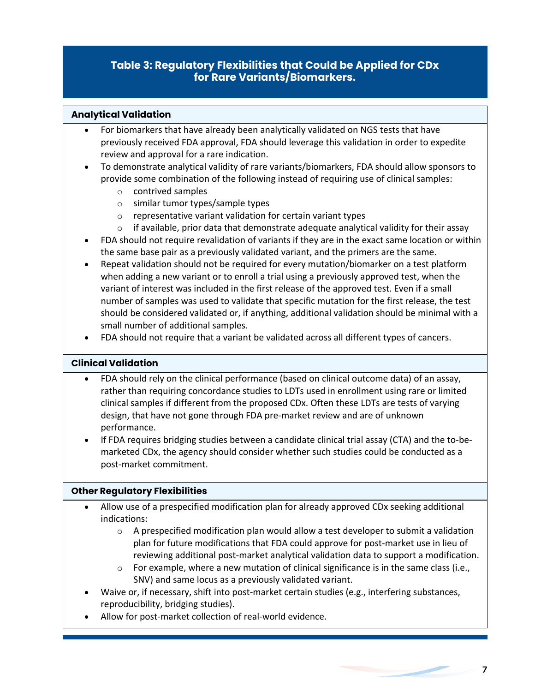#### Flexibilities that could be applied are included in **Table 3**. **Table 3: Regulatory Flexibilities that Could be Applied for CDx for Rare Variants/Biomarkers.**

**Table 3: Regulatory Flexibilities that Could be Applied for CDx for Rare Variants/Biomarkers.**

data or merely being done to "check the box" rather than generating new and meaningful information.

#### **Analytical Validation**

- For biomarkers that have already been analytically validated on NGS tests that have previously received FDA approval, FDA should leverage this validation in order to expedite review and approval for a rare indication. • For biomarkers that have already been analytically validated on NGS tests that have previously received FDA and a previously received for a previously validated on NGS tests that have to expedit previously received FDA approval, FDA sin  $\tau$  - To demonstrate analytical value of  $\tau$  rate value  $\tau$  rate value  $\tau$  sponsors to the sponsors to the sponsors to the sponsors to the sponsors to the sponsors to the sponsors to the sponsors to the sponsors to th
- To demonstrate analytical validity of rare variants/biomarkers, FDA should allow sponsors to provide some combination of the following instead of requiring use of clinical samples: providently of the following of the following instead of the some computation of the clinical samples:  $\frac{1}{2}$ 
	- o contrived samples out some completion
	- o similar tumor types/sample types  $\circ$  contrived samples<br> $\cdot$  similar types types/sample types
	- $\circ$  representative variant validation for certain variant types o representative variant validation for certain variant types
	- $\circ$  if available, prior data that demonstrate adequate analytical validity for their assay o if available, prior data that demonstrate adequate analytical validity for their assay
- FDA should not require revalidation of variants if they are in the exact same location or within the same base pair as a previously validated variant, and the primers are the same.  $\circ$  - Finalidation of variants if they are indicate automated and  $\circ$  are in the exact same location or within  $\circ$  $\frac{d}{dx}$  and  $\frac{d}{dx}$  be required for behavior between  $\frac{d}{dx}$  and  $\frac{d}{dx}$  and the primers are the same.
- Repeat validation should not be required for every mutation/biomarker on a test platform when adding a new variant or to enroll a trial using a previously approved test, when the variant or to enroll a trial using a previously approved test, when the variant of interest was included in the first release of the approved test. Even if a small<br>experience that specific mutation for the test release, the first release of the first release of the first re number of samples was used to validate that specific mutation for the first release, the test should be considered validated or, if anything, additional validation should be minimal with a small number of additional samples. when a new variant or to be required for every mutation point when the test platform  $\frac{1}{2}$  in any term of any term of any term of any term  $\frac{1}{2}$  and  $\frac{1}{2}$  and  $\frac{1}{2}$  and  $\frac{1}{2}$  and  $\frac{1}{2}$  and  $\frac{1}{2}$  and  $\frac{1}{2}$  and  $\frac{1}{2}$  and  $\frac{1}{2}$  and  $\frac{1}{2}$  and  $\frac{1}{2}$  and  $\frac{1}{2}$ should be considered validated of, if • FDA should not require that a variant be validated across all different types of cancers.
- FDA should not require that a variant be validated across all different types of cancers.

#### **Clinical Validation**

- rations and rely on the clinical performance (clients channole entropy data) of an assay, rather than requiring concordance studies to LDTs used in enrollment using rare or limited clinical samples if different from the proposed CDx. Often these LDTs are tests of varying clinical samples if americing from the proposed CDX. Often these LDTs are tests of tar jing<br>decign that have not gone through EDA pre-market review and are of unknown design, that have not gone through FDA pre-market review and are of unknown • FDA should rely on the clinical performance (based on clinical outcome data) of an assay, design, that have not gone through FDA pre-market review and are of unknown performance.
- If FDA requires bridging studies between a candidate clinical trial assay (CTA) and the to-be-• If FDA requires bridging studies between a candidate clinical trial assay (CTA) and the to-be-marketed CDx, the agency should consider whether such studies could be conducted as a marketed CDx, the agency should consider whether such studies could be conducted as a post-market commitment. post-market commitment.

#### **Other Regulatory Flexibilities**

- Allow use of a prespecified modification plan for already approved CDx seeking additional indications:
	- $\circ$  A prespecified modification plan would allow a test developer to submit a validation plan for future modifications that FDA could approve for post-market use in lieu of reviewing additional post-market analytical validation data to support a modification.
	- $\circ$  For example, where a new mutation of clinical significance is in the same class (i.e., SNV) and same locus as a previously validated variant.
- Waive or, if necessary, shift into post-market certain studies (e.g., interfering substances, reproducibility, bridging studies).

both PMAs and supplemental PMAs, akin to what is included in the summary basis of approval

Allow for post-market collection of real-world evidence.

6

6